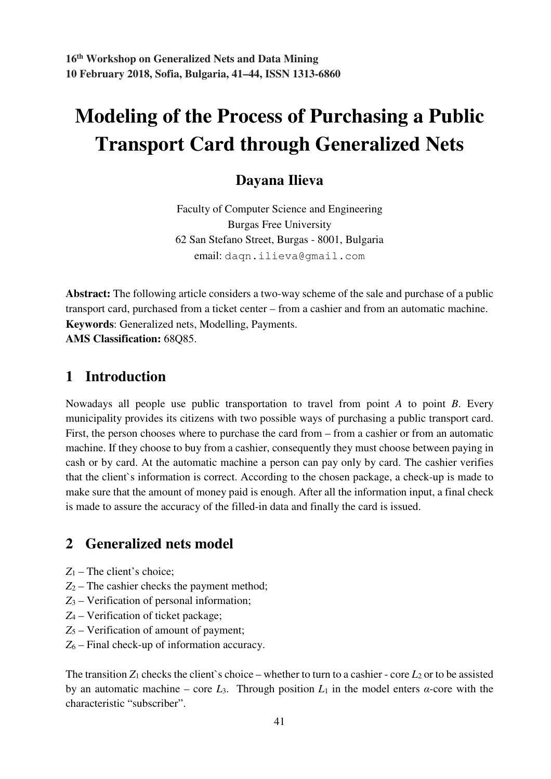# **Modeling of the Process of Purchasing a Public Transport Card through Generalized Nets**

## **Dayana Ilieva**

Faculty of Computer Science and Engineering Burgas Free University 62 San Stefano Street, Burgas - 8001, Bulgaria email: daqn.ilieva@gmail.com

**Abstract:** The following article considers a two-way scheme of the sale and purchase of a public transport card, purchased from a ticket center – from a cashier and from an automatic machine. **Keywords**: Generalized nets, Modelling, Payments. **AMS Classification:** 68Q85.

### **1 Introduction**

Nowadays all people use public transportation to travel from point *A* to point *B*. Every municipality provides its citizens with two possible ways of purchasing a public transport card. First, the person chooses where to purchase the card from – from a cashier or from an automatic machine. If they choose to buy from a cashier, consequently they must choose between paying in cash or by card. At the automatic machine a person can pay only by card. The cashier verifies that the client`s information is correct. According to the chosen package, a check-up is made to make sure that the amount of money paid is enough. After all the information input, a final check is made to assure the accuracy of the filled-in data and finally the card is issued.

## **2 Generalized nets model**

- *Z*1 The client's choice;
- $Z_2$  The cashier checks the payment method;
- *Z*3 Verification of personal information;
- *Z*4 Verification of ticket package;
- *Z*5 Verification of amount of payment;
- *Z*6 Final check-up of information accuracy.

The transition  $Z_1$  checks the client's choice – whether to turn to a cashier - core  $L_2$  or to be assisted by an automatic machine – core  $L_3$ . Through position  $L_1$  in the model enters  $\alpha$ -core with the characteristic "subscriber".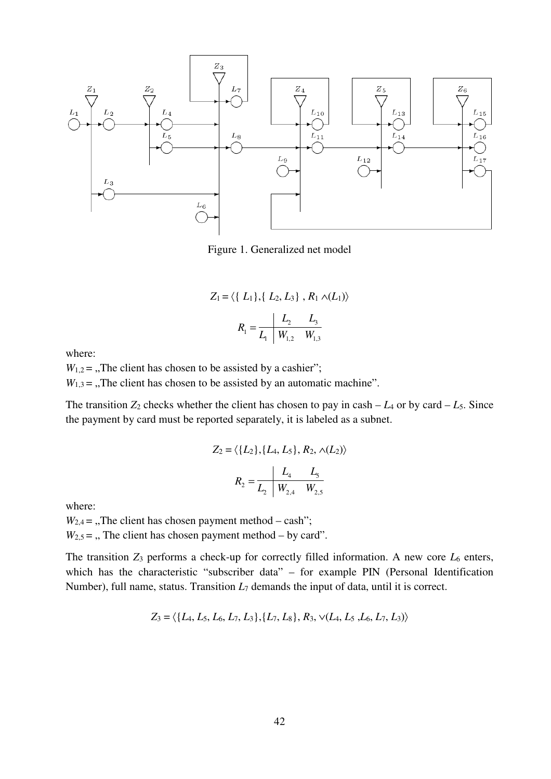

Figure 1. Generalized net model

$$
Z_1 = \langle \{ L_1 \}, \{ L_2, L_3 \}, R_1 \wedge (L_1) \rangle
$$

$$
R_1 = \frac{L_2}{L_1} \frac{L_3}{W_{1,2} \frac{W_{1,3}}{W_{1,3}}}
$$

where:

 $W_{1,2}$  = , The client has chosen to be assisted by a cashier";  $W_{1,3}$  = ., The client has chosen to be assisted by an automatic machine".

The transition  $Z_2$  checks whether the client has chosen to pay in cash  $- L_4$  or by card  $- L_5$ . Since the payment by card must be reported separately, it is labeled as a subnet.

$$
Z_2 = \langle \{L_2\}, \{L_4, L_5\}, R_2, \wedge (L_2) \rangle
$$

$$
R_2 = \frac{L_4}{L_2} \frac{L_5}{W_{2,4} \frac{W_{2,5}}{W_{2,5}}}
$$

where:

 $W_{2,4}$  = , The client has chosen payment method – cash";  $W_{2,5}$  = ., The client has chosen payment method – by card".

The transition  $Z_3$  performs a check-up for correctly filled information. A new core  $L_6$  enters, which has the characteristic "subscriber data" – for example PIN (Personal Identification Number), full name, status. Transition  $L_7$  demands the input of data, until it is correct.

$$
Z_3 = \langle \{L_4, L_5, L_6, L_7, L_3\}, \{L_7, L_8\}, R_3, \vee (L_4, L_5, L_6, L_7, L_3)\rangle
$$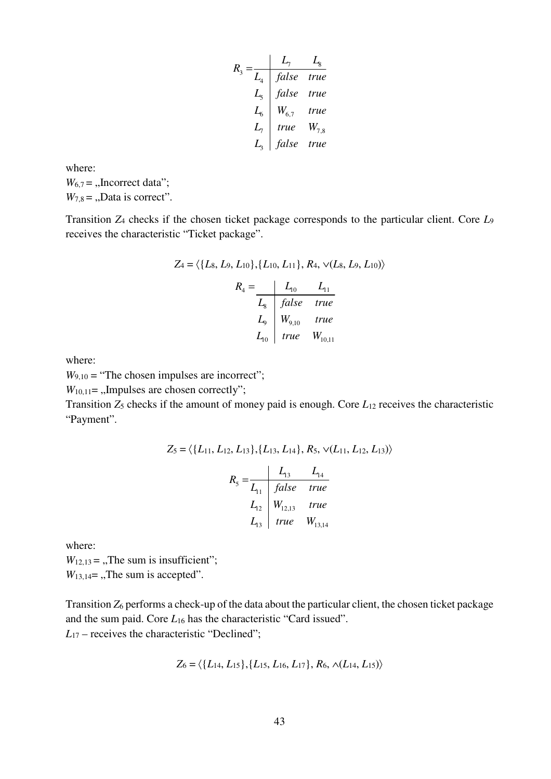$$
R_3 = \frac{L_7}{L_4} \quad \frac{L_7}{false} \quad true
$$
\n
$$
L_5 = \frac{L_8}{100} \quad \frac{false}{true}
$$
\n
$$
L_6 = \frac{W_{6,7}}{true} \quad W_{7,8}
$$
\n
$$
L_3 = \frac{L_3}{false} \quad true
$$

where:  $W_{6,7} =$  "Incorrect data";  $W_{7,8} =$  "Data is correct".

Transition *Z*4 checks if the chosen ticket package corresponds to the particular client. Core *L*<sup>9</sup> receives the characteristic "Ticket package".

$$
Z_4 = \langle \{L_8, L_9, L_{10}\}, \{L_{10}, L_{11}\}, R_4, \sqrt{(L_8, L_9, L_{10})} \rangle
$$

$$
R_4 = \frac{L_{10}}{L_8} \frac{L_{11}}{false} true
$$

$$
L_9 \begin{array}{|l|}\nW_{9,10} & true \\
\hline\nL_{10} & true \\
\hline\nW_{10,11}\n\end{array}
$$

where:

 $W_{9,10}$  = "The chosen impulses are incorrect";

 $W_{10,11}$ = "Impulses are chosen correctly";

Transition *Z*5 checks if the amount of money paid is enough. Core *L*12 receives the characteristic "Payment".

$$
Z_5 = \langle \{L_{11}, L_{12}, L_{13}\}, \{L_{13}, L_{14}\}, R_5, \sqrt{(L_{11}, L_{12}, L_{13})} \rangle
$$

$$
R_5 = \frac{L_{13}}{L_{11}} \frac{L_{13}}{false} \text{ true}
$$

$$
L_{12} \begin{vmatrix} W_{12,13} & \text{true} \\ \text{true} & W_{13,14} \end{vmatrix}
$$

where:

 $W_{12,13} =$ , The sum is insufficient";  $W_{13,14}$ = ,,The sum is accepted".

Transition *Z*6 performs a check-up of the data about the particular client, the chosen ticket package and the sum paid. Core *L*16 has the characteristic "Card issued". *L*<sub>17</sub> – receives the characteristic "Declined";

$$
Z_6 = \langle \{L_{14}, L_{15}\}, \{L_{15}, L_{16}, L_{17}\}, R_6, \wedge (L_{14}, L_{15})\rangle
$$